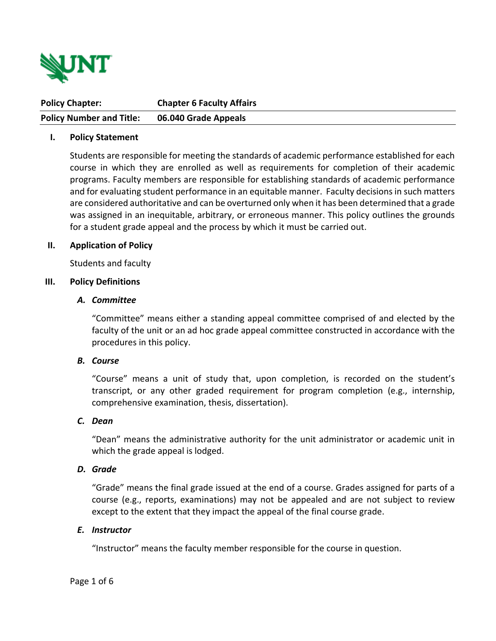

| <b>Policy Chapter:</b>          | <b>Chapter 6 Faculty Affairs</b> |
|---------------------------------|----------------------------------|
| <b>Policy Number and Title:</b> | 06.040 Grade Appeals             |

#### **I. Policy Statement**

Students are responsible for meeting the standards of academic performance established for each course in which they are enrolled as well as requirements for completion of their academic programs. Faculty members are responsible for establishing standards of academic performance and for evaluating student performance in an equitable manner. Faculty decisions in such matters are considered authoritative and can be overturned only when it has been determined that a grade was assigned in an inequitable, arbitrary, or erroneous manner. This policy outlines the grounds for a student grade appeal and the process by which it must be carried out.

#### **II. Application of Policy**

Students and faculty

#### **III. Policy Definitions**

#### *A. Committee*

"Committee" means either a standing appeal committee comprised of and elected by the faculty of the unit or an ad hoc grade appeal committee constructed in accordance with the procedures in this policy.

# *B. Course*

"Course" means a unit of study that, upon completion, is recorded on the student's transcript, or any other graded requirement for program completion (e.g., internship, comprehensive examination, thesis, dissertation).

#### *C. Dean*

"Dean" means the administrative authority for the unit administrator or academic unit in which the grade appeal is lodged.

#### *D. Grade*

"Grade" means the final grade issued at the end of a course. Grades assigned for parts of a course (e.g., reports, examinations) may not be appealed and are not subject to review except to the extent that they impact the appeal of the final course grade.

#### *E. Instructor*

"Instructor" means the faculty member responsible for the course in question.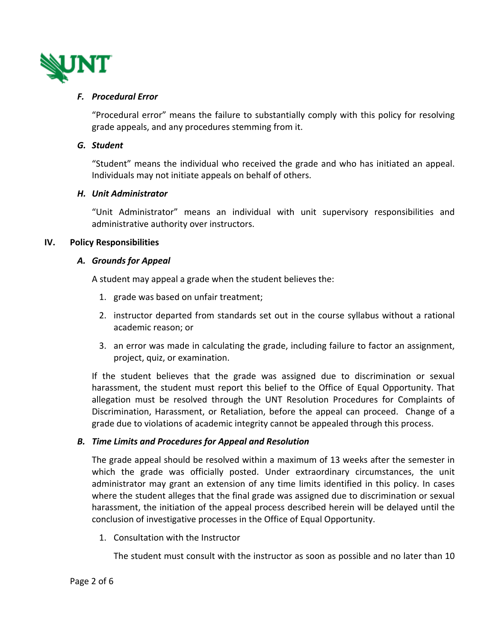

# *F. Procedural Error*

"Procedural error" means the failure to substantially comply with this policy for resolving grade appeals, and any procedures stemming from it.

# *G. Student*

"Student" means the individual who received the grade and who has initiated an appeal. Individuals may not initiate appeals on behalf of others.

# *H. Unit Administrator*

"Unit Administrator" means an individual with unit supervisory responsibilities and administrative authority over instructors.

# **IV. Policy Responsibilities**

# *A. Grounds for Appeal*

A student may appeal a grade when the student believes the:

- 1. grade was based on unfair treatment;
- 2. instructor departed from standards set out in the course syllabus without a rational academic reason; or
- 3. an error was made in calculating the grade, including failure to factor an assignment, project, quiz, or examination.

If the student believes that the grade was assigned due to discrimination or sexual harassment, the student must report this belief to the Office of Equal Opportunity. That allegation must be resolved through the UNT Resolution Procedures for Complaints of Discrimination, Harassment, or Retaliation, before the appeal can proceed. Change of a grade due to violations of academic integrity cannot be appealed through this process.

# *B. Time Limits and Procedures for Appeal and Resolution*

The grade appeal should be resolved within a maximum of 13 weeks after the semester in which the grade was officially posted. Under extraordinary circumstances, the unit administrator may grant an extension of any time limits identified in this policy. In cases where the student alleges that the final grade was assigned due to discrimination or sexual harassment, the initiation of the appeal process described herein will be delayed until the conclusion of investigative processes in the Office of Equal Opportunity.

1. Consultation with the Instructor

The student must consult with the instructor as soon as possible and no later than 10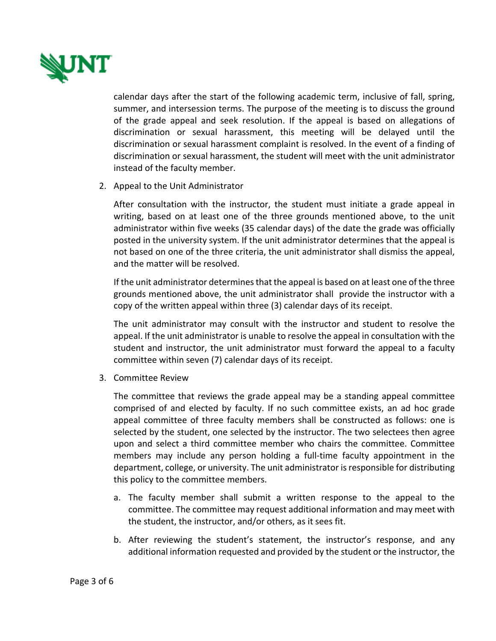

calendar days after the start of the following academic term, inclusive of fall, spring, summer, and intersession terms. The purpose of the meeting is to discuss the ground of the grade appeal and seek resolution. If the appeal is based on allegations of discrimination or sexual harassment, this meeting will be delayed until the discrimination or sexual harassment complaint is resolved. In the event of a finding of discrimination or sexual harassment, the student will meet with the unit administrator instead of the faculty member.

2. Appeal to the Unit Administrator

After consultation with the instructor, the student must initiate a grade appeal in writing, based on at least one of the three grounds mentioned above, to the unit administrator within five weeks (35 calendar days) of the date the grade was officially posted in the university system. If the unit administrator determines that the appeal is not based on one of the three criteria, the unit administrator shall dismiss the appeal, and the matter will be resolved.

If the unit administrator determines that the appeal is based on at least one of the three grounds mentioned above, the unit administrator shall provide the instructor with a copy of the written appeal within three (3) calendar days of its receipt.

The unit administrator may consult with the instructor and student to resolve the appeal. If the unit administrator is unable to resolve the appeal in consultation with the student and instructor, the unit administrator must forward the appeal to a faculty committee within seven (7) calendar days of its receipt.

3. Committee Review

The committee that reviews the grade appeal may be a standing appeal committee comprised of and elected by faculty. If no such committee exists, an ad hoc grade appeal committee of three faculty members shall be constructed as follows: one is selected by the student, one selected by the instructor. The two selectees then agree upon and select a third committee member who chairs the committee. Committee members may include any person holding a full-time faculty appointment in the department, college, or university. The unit administrator is responsible for distributing this policy to the committee members.

- a. The faculty member shall submit a written response to the appeal to the committee. The committee may request additional information and may meet with the student, the instructor, and/or others, as it sees fit.
- b. After reviewing the student's statement, the instructor's response, and any additional information requested and provided by the student or the instructor, the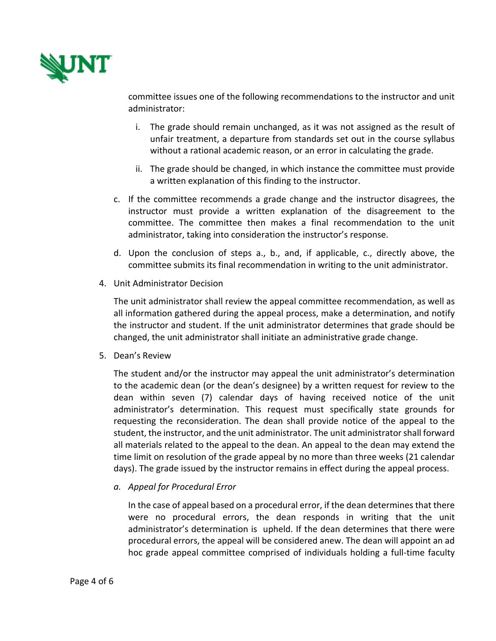

committee issues one of the following recommendations to the instructor and unit administrator:

- i. The grade should remain unchanged, as it was not assigned as the result of unfair treatment, a departure from standards set out in the course syllabus without a rational academic reason, or an error in calculating the grade.
- ii. The grade should be changed, in which instance the committee must provide a written explanation of this finding to the instructor.
- c. If the committee recommends a grade change and the instructor disagrees, the instructor must provide a written explanation of the disagreement to the committee. The committee then makes a final recommendation to the unit administrator, taking into consideration the instructor's response.
- d. Upon the conclusion of steps a., b., and, if applicable, c., directly above, the committee submits its final recommendation in writing to the unit administrator.
- 4. Unit Administrator Decision

The unit administrator shall review the appeal committee recommendation, as well as all information gathered during the appeal process, make a determination, and notify the instructor and student. If the unit administrator determines that grade should be changed, the unit administrator shall initiate an administrative grade change.

5. Dean's Review

The student and/or the instructor may appeal the unit administrator's determination to the academic dean (or the dean's designee) by a written request for review to the dean within seven (7) calendar days of having received notice of the unit administrator's determination. This request must specifically state grounds for requesting the reconsideration. The dean shall provide notice of the appeal to the student, the instructor, and the unit administrator. The unit administrator shall forward all materials related to the appeal to the dean. An appeal to the dean may extend the time limit on resolution of the grade appeal by no more than three weeks (21 calendar days). The grade issued by the instructor remains in effect during the appeal process.

*a. Appeal for Procedural Error* 

In the case of appeal based on a procedural error, if the dean determines that there were no procedural errors, the dean responds in writing that the unit administrator's determination is upheld. If the dean determines that there were procedural errors, the appeal will be considered anew. The dean will appoint an ad hoc grade appeal committee comprised of individuals holding a full-time faculty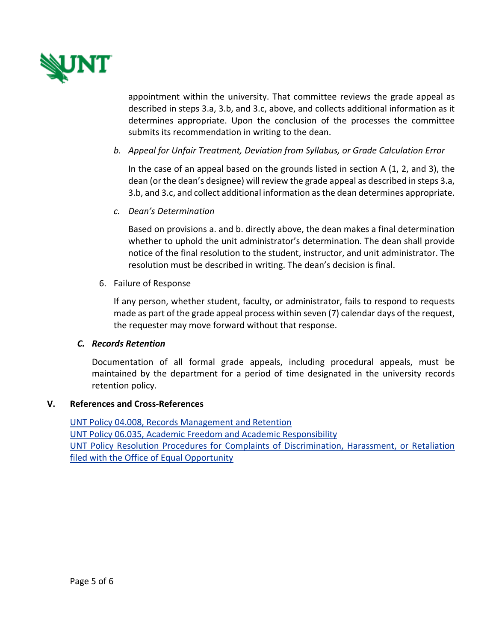

appointment within the university. That committee reviews the grade appeal as described in steps 3.a, 3.b, and 3.c, above, and collects additional information as it determines appropriate. Upon the conclusion of the processes the committee submits its recommendation in writing to the dean.

*b. Appeal for Unfair Treatment, Deviation from Syllabus, or Grade Calculation Error*

In the case of an appeal based on the grounds listed in section A (1, 2, and 3), the dean (or the dean's designee) will review the grade appeal as described in steps 3.a, 3.b, and 3.c, and collect additional information as the dean determines appropriate.

*c. Dean's Determination*

Based on provisions a. and b. directly above, the dean makes a final determination whether to uphold the unit administrator's determination. The dean shall provide notice of the final resolution to the student, instructor, and unit administrator. The resolution must be described in writing. The dean's decision is final.

6. Failure of Response

If any person, whether student, faculty, or administrator, fails to respond to requests made as part of the grade appeal process within seven (7) calendar days of the request, the requester may move forward without that response.

#### *C. Records Retention*

Documentation of all formal grade appeals, including procedural appeals, must be maintained by the department for a period of time designated in the university records retention policy.

# **V. References and Cross-References**

[UNT Policy 04.008, Records Management and Retention](https://policy.unt.edu/policy/04-008) [UNT Policy 06.035, Academic Freedom and Academic Responsibility](https://policy.unt.edu/policy/06-035) [UNT Policy Resolution Procedures for Complaints of Discrimination, Harassment, or Retaliation](https://idea.unt.edu/file-complaint)  [filed with the Office of Equal Opportunity](https://idea.unt.edu/file-complaint)